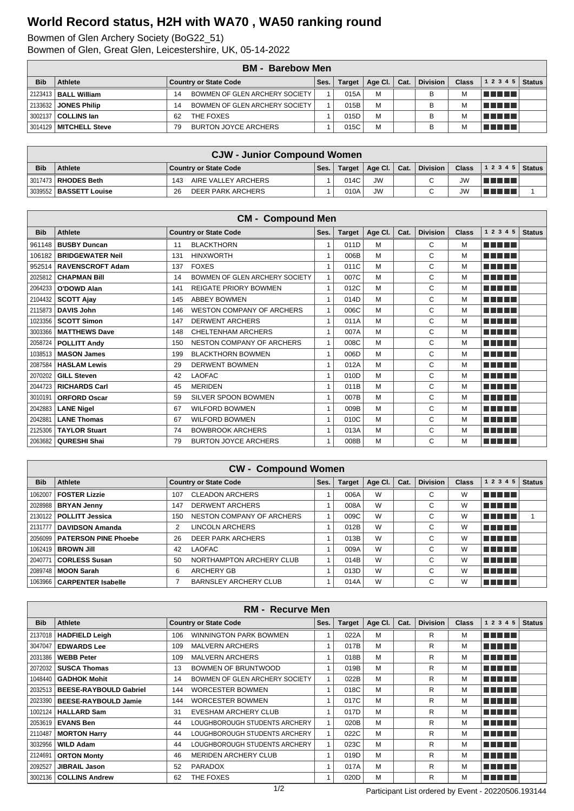## **World Record status, H2H with WA70 , WA50 ranking round**

Bowmen of Glen Archery Society (BoG22\_51)

Bowmen of Glen, Great Glen, Leicestershire, UK, 05-14-2022

|            | <b>BM</b> - Barebow Men     |                                   |      |               |         |      |                 |              |                        |               |  |  |
|------------|-----------------------------|-----------------------------------|------|---------------|---------|------|-----------------|--------------|------------------------|---------------|--|--|
| <b>Bib</b> | <b>Athlete</b>              | <b>Country or State Code</b>      | Ses. | <b>Target</b> | Age Cl. | Cat. | <b>Division</b> | <b>Class</b> | 12345                  | <b>Status</b> |  |  |
|            | 2123413   BALL William      | BOWMEN OF GLEN ARCHERY SOCIETY    |      | 015A          | M       |      | в               | M            | <u>Film and the se</u> |               |  |  |
|            | 2133632 <b>JONES Philip</b> | BOWMEN OF GLEN ARCHERY SOCIETY    |      | 015B          | M       |      |                 | м            | <u>in Finns</u>        |               |  |  |
|            | 3002137 <b>COLLINS Ian</b>  | THE FOXES<br>62                   |      | 015D          | M       |      | в               |              | n din din              |               |  |  |
|            | 3014129   MITCHELL Steve    | <b>BURTON JOYCE ARCHERS</b><br>79 |      | 015C          | M       |      |                 |              | T FIFTI T              |               |  |  |

|            | <b>CJW - Junior Compound Women</b> |                              |      |        |              |  |                 |              |                |  |  |
|------------|------------------------------------|------------------------------|------|--------|--------------|--|-----------------|--------------|----------------|--|--|
| <b>Bib</b> | Athlete                            | <b>Country or State Code</b> | Ses. | Target | Age Cl. Cat. |  | <b>Division</b> | <b>Class</b> | $12345$ Status |  |  |
|            | 3017473 RHODES Beth                | AIRE VALLEY ARCHERS<br>143   |      | 014C   | <b>JW</b>    |  | $\sim$          | <b>JW</b>    | TI FI FI       |  |  |
|            | 3039552   BASSETT Louise           | DEER PARK ARCHERS<br>26      |      | 010A   | <b>JW</b>    |  |                 | JW           | TELET          |  |  |

|            | <b>CM - Compound Men</b> |     |                                  |      |               |         |      |                 |              |           |               |  |
|------------|--------------------------|-----|----------------------------------|------|---------------|---------|------|-----------------|--------------|-----------|---------------|--|
| <b>Bib</b> | <b>Athlete</b>           |     | <b>Country or State Code</b>     | Ses. | <b>Target</b> | Age Cl. | Cat. | <b>Division</b> | <b>Class</b> | 1 2 3 4 5 | <b>Status</b> |  |
| 961148     | <b>BUSBY Duncan</b>      | 11  | <b>BLACKTHORN</b>                | 1    | 011D          | M       |      | C               | M            | n din bin |               |  |
| 106182     | <b>BRIDGEWATER Neil</b>  | 131 | <b>HINXWORTH</b>                 | 1    | 006B          | M       |      | C               | М            | n din bir |               |  |
| 952514     | <b>RAVENSCROFT Adam</b>  | 137 | <b>FOXES</b>                     | 1    | 011C          | M       |      | C               | M            | ma mata   |               |  |
| 2025812    | <b>CHAPMAN Bill</b>      | 14  | BOWMEN OF GLEN ARCHERY SOCIETY   | 1    | 007C          | M       |      | C               | M            | n din bir |               |  |
| 2064233    | O'DOWD Alan              | 141 | <b>REIGATE PRIORY BOWMEN</b>     | 1    | 012C          | M       |      | C               | M            | n din bin |               |  |
| 2104432    | <b>SCOTT Ajay</b>        | 145 | <b>ABBEY BOWMEN</b>              | 1    | 014D          | M       |      | C               | M            | n din bir |               |  |
| 2115873    | <b>DAVIS John</b>        | 146 | <b>WESTON COMPANY OF ARCHERS</b> | 1    | 006C          | M       |      | C               | М            | n din bir |               |  |
| 1023356    | <b>SCOTT Simon</b>       | 147 | <b>DERWENT ARCHERS</b>           | 1    | 011A          | M       |      | C               | M            | n din bir |               |  |
| 3003366    | <b>MATTHEWS Dave</b>     | 148 | CHELTENHAM ARCHERS               | 1    | 007A          | M       |      | C               | M            | n na mar  |               |  |
| 2058724    | <b>POLLITT Andy</b>      | 150 | NESTON COMPANY OF ARCHERS        | 1    | 008C          | M       |      | C               | M            | n din bir |               |  |
| 1038513    | <b>MASON James</b>       | 199 | <b>BLACKTHORN BOWMEN</b>         | 1    | 006D          | M       |      | C               | M            | n din bin |               |  |
| 2087584    | <b>HASLAM Lewis</b>      | 29  | <b>DERWENT BOWMEN</b>            | 1    | 012A          | M       |      | C               | M            | n din bir |               |  |
| 2070202    | <b>GILL Steven</b>       | 42  | <b>LAOFAC</b>                    | 1    | 010D          | M       |      | C               | М            | n na mar  |               |  |
| 2044723    | <b>RICHARDS Carl</b>     | 45  | <b>MERIDEN</b>                   | 1    | 011B          | M       |      | C               | M            | n din bin |               |  |
| 3010191    | <b>ORFORD Oscar</b>      | 59  | SILVER SPOON BOWMEN              | 1    | 007B          | M       |      | C               | M            | n din bin |               |  |
| 2042883    | <b>LANE Nigel</b>        | 67  | <b>WILFORD BOWMEN</b>            | 1    | 009B          | M       |      | C               | М            | n din bir |               |  |
| 2042881    | <b>LANE Thomas</b>       | 67  | <b>WILFORD BOWMEN</b>            | 1    | 010C          | M       |      | C               | M            | n din bin |               |  |
| 2125306    | <b>TAYLOR Stuart</b>     | 74  | <b>BOWBROOK ARCHERS</b>          | 1    | 013A          | M       |      | C               | M            | n din din |               |  |
|            | 2063682   QURESHI Shai   | 79  | <b>BURTON JOYCE ARCHERS</b>      |      | 008B          | M       |      | C               | М            | n din bir |               |  |

|            | <b>CW - Compound Women</b>     |     |                              |      |        |             |      |                 |              |             |               |
|------------|--------------------------------|-----|------------------------------|------|--------|-------------|------|-----------------|--------------|-------------|---------------|
| <b>Bib</b> | Athlete                        |     | <b>Country or State Code</b> | Ses. | Target | Age Cl. $ $ | Cat. | <b>Division</b> | <b>Class</b> | 1 2 3 4 5   | <b>Status</b> |
| 1062007    | <b>FOSTER Lizzie</b>           | 107 | <b>CLEADON ARCHERS</b>       |      | 006A   | W           |      | C               | W            | 'u mart     |               |
|            | 2028988   BRYAN Jenny          | 147 | <b>DERWENT ARCHERS</b>       |      | 008A   | W           |      | С               | W            | n na mata   |               |
|            | 2130122   POLLITT Jessica      | 150 | NESTON COMPANY OF ARCHERS    |      | 009C   | W           |      | C               | W            | ' E E E E   |               |
|            | 2131777   DAVIDSON Amanda      |     | <b>LINCOLN ARCHERS</b>       |      | 012B   | W           |      | С               | W            | l Titolin T |               |
|            | 2056099   PATERSON PINE Phoebe | 26  | <b>DEER PARK ARCHERS</b>     |      | 013B   | W           |      | С               | W            | n din bir   |               |
|            | 1062419   <b>BROWN Jill</b>    | 42  | <b>LAOFAC</b>                |      | 009A   | W           |      | С               | W            | n na mata   |               |
| 2040771    | <b>CORLESS Susan</b>           | 50  | NORTHAMPTON ARCHERY CLUB     |      | 014B   | W           |      | C               | W            | l Titolin T |               |
|            | 2089748   MOON Sarah           | 6   | <b>ARCHERY GB</b>            |      | 013D   | W           |      | C               | W            | n na mara   |               |
|            | 1063966   CARPENTER Isabelle   |     | <b>BARNSLEY ARCHERY CLUB</b> |      | 014A   | W           |      | C               | W            | T FIFIT T   |               |

|            | <b>RM - Recurve Men</b>       |     |                                |      |               |         |      |                 |              |             |               |
|------------|-------------------------------|-----|--------------------------------|------|---------------|---------|------|-----------------|--------------|-------------|---------------|
| <b>Bib</b> | Athlete                       |     | <b>Country or State Code</b>   | Ses. | <b>Target</b> | Age Cl. | Cat. | <b>Division</b> | <b>Class</b> | 1 2 3 4 5   | <b>Status</b> |
| 2137018    | <b>HADFIELD Leigh</b>         | 106 | <b>WINNINGTON PARK BOWMEN</b>  |      | 022A          | м       |      | R               | M            | TI FIFITI T |               |
| 3047047    | <b>EDWARDS Lee</b>            | 109 | <b>MALVERN ARCHERS</b>         |      | 017B          | M       |      | R               | M            | TI TITLE    |               |
| 2031386    | <b>WEBB Peter</b>             | 109 | <b>MALVERN ARCHERS</b>         |      | 018B          | м       |      | R               | М            | TI TITLE    |               |
| 2072032    | <b>SUSCA Thomas</b>           | 13  | BOWMEN OF BRUNTWOOD            |      | 019B          | M       |      | R               | M            | a di biblio |               |
| 1048440    | <b>GADHOK Mohit</b>           | 14  | BOWMEN OF GLEN ARCHERY SOCIETY |      | 022B          | M       |      | R               | M            | TI FIFIT    |               |
| 2032513    | <b>BEESE-RAYBOULD Gabriel</b> | 144 | <b>WORCESTER BOWMEN</b>        |      | 018C          | M       |      | R               | M            | N N N N N   |               |
| 2023390    | <b>BEESE-RAYBOULD Jamie</b>   | 144 | <b>WORCESTER BOWMEN</b>        |      | 017C          | м       |      | R               | M            | T FI FI FI  |               |
|            | 1002124   HALLARD Sam         | 31  | EVESHAM ARCHERY CLUB           |      | 017D          | M       |      | R               | M            | T FI FI FI  |               |
| 2053619    | <b>EVANS Ben</b>              | 44  | LOUGHBOROUGH STUDENTS ARCHERY  |      | 020B          | M       |      | R               | м            | n in Tim    |               |
| 2110487    | <b>MORTON Harry</b>           | 44  | LOUGHBOROUGH STUDENTS ARCHERY  |      | 022C          | M       |      | R               | M            | T FI FI FI  |               |
| 3032956    | <b>WILD Adam</b>              | 44  | LOUGHBOROUGH STUDENTS ARCHERY  |      | 023C          | м       |      | R               | M            | n din Film  |               |
| 2124691    | <b>ORTON Monty</b>            | 46  | <b>MERIDEN ARCHERY CLUB</b>    |      | 019D          | M       |      | R               | м            | ma matsa    |               |
| 2092527    | <b>JIBRAIL Jason</b>          | 52  | <b>PARADOX</b>                 |      | 017A          | M       |      | R               | м            | n in Tim    |               |
|            | 3002136   COLLINS Andrew      | 62  | THE FOXES                      |      | 020D          | M       |      | R               | M            | TI TITLE    |               |